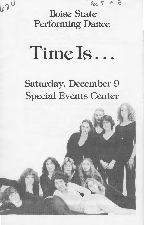Rec. 9 197 B

620

**Boise State Performing Dance** 

Time Is..

Saturday, December 9 **Special Events Center**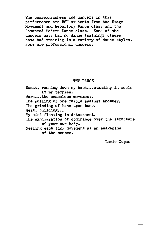The choreographers and dancers in this performance are BSU students from the Stage Movement and Repertory Dance class and the Advanced Modern Dance class. Some of the dancers have had no dance training; others have had training in a variety of dance styles. None are professional dancers.

# THE DANCE

Sweat, running down my back...standing in pools at my temples. Work...the ceaseless movement. The pulling of one muscle against another. The grinding of bone upon bone. Heat, building... My mind floating in detachment. The exhilaration of dominance over the structure of your own body. Feeling each tiny movement as an awakening of the senses.

---------~------- --------

Lorie Cupan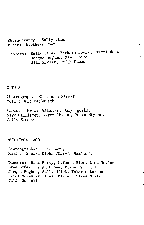Choreography: Sally Jilek Music: Brothers Four

Dancers: Sally Jilek, Barbara Boylan, Terri Netz Jacque Hughes, Mimi Smith Jill Kirker, Deigh Duman

'

..

8 TO 5

Choreography! Elizabeth Streiff ~msic: Burt Bacharach

Dancers: Heidi McMaster, Mary Ogdahl, Mary Callister, Karen Ohlson, Sonya Styner, Sally Scudder

TWO MONTHS AGO...

Choreography: Bret Berry Music: Edward Kleban/Marvin Hamlisch

Dancers: Bret Berry, LaVonne Bier, Lisa Boylan Brad Bybee, Deigh Duman, Diana Fairchild Jacque Hughes, Sally Jilek, Valerie Larson Heidi McMaster, Aleah Miller, Diana Mills Julie Woodall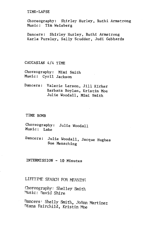#### TIME-LAPSE

Choreography: Shirley Hurley, Ruthi Armstrong Music: Tim Weisberg

Dancers: Shirley Hurley, Ruthi Armstrong Karla Pursley, Sally Scudder, Judi Gebhards

CAUCASIAN 4/4 TIME

Choreography: Mimi Smith Music: Cyril Jackson

Dancers: Valerie Larson, Jill Kirker Barbara Boylan, Kristin Moe Julie Woodall, Mimi Smith

#### TIME BOMB

- Choreography: Julie Woodall Music: Lake
- Dancers: Julie Woodall, Jacque Hughes Sue Mensching

# INTERMISSION - 10 Minutes

LIFETIME SFARCH FOR MEANING

Choreography: Shelley Smith Music: David Shire

Dancers: Shelly Smith, JoAnn Martinez Diana Fairchild, Kristin Hoe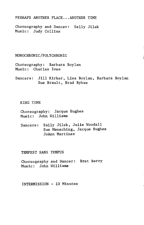PERHAPS ANOTHER PLACE... ANOTHER TIME

Choreography and Dancer: Sally Jilek Music: Judy Collins

MONOCHRONIC/POLYCHRONIC

Choreography: Barbara Boylan Music: Charles Ives

Dancers: Jill Kirker, Lisa Boylan, Barbara Boylan Sue Brault, Brad Bybee

KING TIME

Choreography: Jacque Hughes Music: John Williams

Dancers: Sally Jilek, Julie Woodall Sue Mensching, Jacque Hughes JoAnn Martinez

TEMPEST SANS TEMPUS

Choreography and Dancer: Bret Berry Music: John Williams

INTERMISSION - 10 Minutes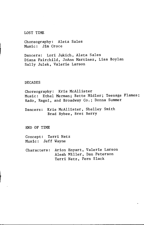### LOST TIME

Choreography: Aleta Sales Music: Jim Croce

Dancers: Lori Jukich, Aleta Sales Diana Fairchild, JoAnn Martinez, Lisa Boylan Sally Julek, Valerie Larson

### **DECADES**

Choreography: Kris McAllister Music: Ethel Merman; Bette Midler; Teenage Flames; Rado, Ragni, and Broadway Co.; Donna Summer

Dancers: Kris McAllister, Shelley Smith Brad Bybee, Bret Berry

END OF TIME

f

Concept: Terri Netz Music: Jeff Wayne

Characters: Arion Enyart, Valerie Larson Aleah Miller, Dan Peterson Terri Netz, Fern Slack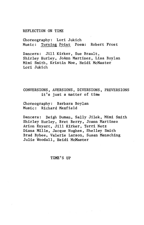## REFLECTION ON TIME

Choreography: Lori Jukich Music: Turning Point Poem: Robert Frost

Dancers: Jill Kirker, Sue Brault, Shirley Hurley, JoAnn Martinez, Lisa Boylan Mimi Smith, Kristin Moe, Heidi McMaster Lori Jukich

CONVERSIONS, AVERSIONS, DIVERSIONS, PREVERSIONS it's just a matter of time

Choreography: Barbara Boylan Music: Richard Maxfield

Dancers: Deigh Duman, Sally Jilek, Mimi Smith Shirley Hurley, Bret Berry, Joann Martinez Arion Enyart, Jill Kirker, Terri Netz Diana Mills, Jacque Hughes, Shelley Smith Brad Bybee, Valerie Larson, Susan Mensching Julie Woodall, Heidi MCMaster

TIME'S UP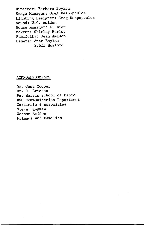Director: Barbara Boylan Stage Manager: Greg Despoppulos Lighting Designer: Greg Despopoulos Sound: W.C. Amidon House Manager: L. Bier Makeup: Shirley Hurley Publicity: Jean Amidon Ushers: Anne Boylan Sybil Hosford

# ACKNOWLEDGMENTS

Dr. Gene Cooper Dr. R. Ericson Pat Harris School of Dance BSU Communication Department Cardinale & Associates Steve Dingman Nathan Amidon Friends and Families